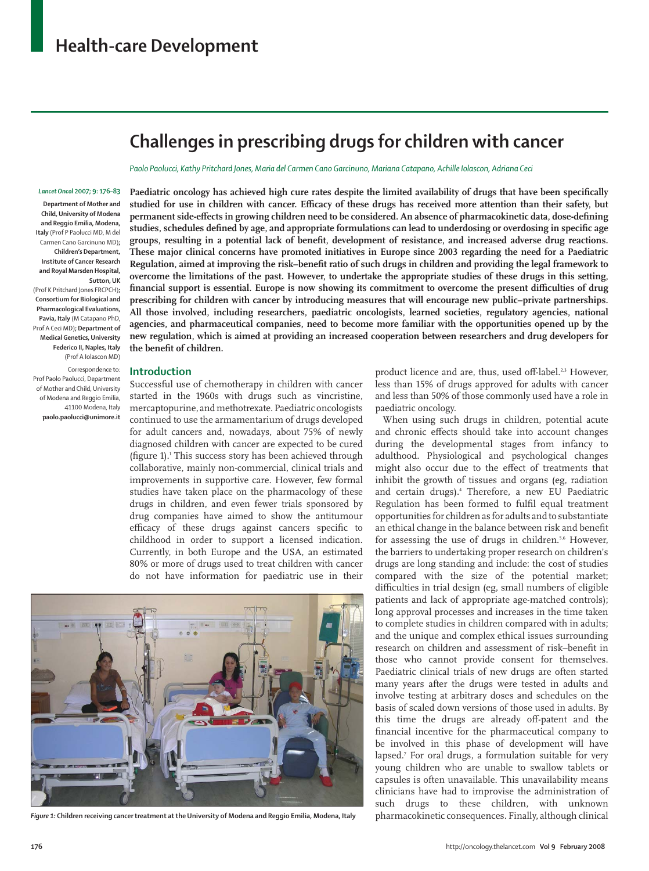# **Challenges in prescribing drugs for children with cancer**

*Paolo Paolucci, Kathy Pritchard Jones, Maria del Carmen Cano Garcinuno, Mariana Catapano, Achille Iolascon, Adriana Ceci*

#### *Lancet Oncol* **2007; 9: 176–83**

**Department of Mother and Child, University of Modena and Reggio Emilia, Modena, Italy** (Prof P Paolucci MD, M del Carmen Cano Garcinuno MD)**; Children's Department, Institute of Cancer Research and Royal Marsden Hospital, Sutton, UK** 

(Prof K Pritchard Jones FRCPCH)**; Consortium for Biological and Pharmacological Evaluations, Pavia, Italy** (M Catapano PhD, Prof A Ceci MD)**; Department of Medical Genetics, University Federico II, Naples, Italy** (Prof A Iolascon MD)

Correspondence to: Prof Paolo Paolucci, Department of Mother and Child, University of Modena and Reggio Emilia, 41100 Modena, Italy **paolo.paolucci@unimore.it**

Paediatric oncology has achieved high cure rates despite the limited availability of drugs that have been specifically studied for use in children with cancer. Efficacy of these drugs has received more attention than their safety, but permanent side-effects in growing children need to be considered. An absence of pharmacokinetic data, dose-defining studies, schedules defined by age, and appropriate formulations can lead to underdosing or overdosing in specific age groups, resulting in a potential lack of benefit, development of resistance, and increased adverse drug reactions. **These major clinical concerns have promoted initiatives in Europe since 2003 regarding the need for a Paediatric Regulation, aimed at improving the risk–benefi t ratio of such drugs in children and providing the legal framework to overcome the limitations of the past. However, to undertake the appropriate studies of these drugs in this setting,**  financial support is essential. Europe is now showing its commitment to overcome the present difficulties of drug **prescribing for children with cancer by introducing measures that will encourage new public–private partnerships. All those involved, including researchers, paediatric oncologists, learned societies, regulatory agencies, national agencies, and pharmaceutical companies, need to become more familiar with the opportunities opened up by the new regulation, which is aimed at providing an increased cooperation between researchers and drug developers for**  the benefit of children.

### **Introduction**

Successful use of chemotherapy in children with cancer started in the 1960s with drugs such as vincristine, mercaptopurine, and methotrexate. Paediatric oncologists continued to use the armamentarium of drugs developed for adult cancers and, nowadays, about 75% of newly diagnosed children with cancer are expected to be cured (figure 1).<sup>1</sup> This success story has been achieved through collaborative, mainly non-commercial, clinical trials and improvements in supportive care. However, few formal studies have taken place on the pharmacology of these drugs in children, and even fewer trials sponsored by drug companies have aimed to show the antitumour efficacy of these drugs against cancers specific to childhood in order to support a licensed indication. Currently, in both Europe and the USA, an estimated 80% or more of drugs used to treat children with cancer do not have information for paediatric use in their



*Figure 1:* **Children receiving cancer treatment at the University of Modena and Reggio Emilia, Modena, Italy**

product licence and are, thus, used off-label.<sup>2,3</sup> However, less than 15% of drugs approved for adults with cancer and less than 50% of those commonly used have a role in paediatric oncology.

When using such drugs in children, potential acute and chronic effects should take into account changes during the developmental stages from infancy to adulthood. Physiological and psychological changes might also occur due to the effect of treatments that inhibit the growth of tissues and organs (eg, radiation and certain drugs).4 Therefore, a new EU Paediatric Regulation has been formed to fulfil equal treatment opportunities for children as for adults and to substantiate an ethical change in the balance between risk and benefit for assessing the use of drugs in children.<sup>5,6</sup> However, the barriers to undertaking proper research on children's drugs are long standing and include: the cost of studies compared with the size of the potential market; difficulties in trial design (eg, small numbers of eligible patients and lack of appropriate age-matched controls); long approval processes and increases in the time taken to complete studies in children compared with in adults; and the unique and complex ethical issues surrounding research on children and assessment of risk–benefit in those who cannot provide consent for themselves. Paediatric clinical trials of new drugs are often started many years after the drugs were tested in adults and involve testing at arbitrary doses and schedules on the basis of scaled down versions of those used in adults. By this time the drugs are already off-patent and the financial incentive for the pharmaceutical company to be involved in this phase of development will have lapsed.7 For oral drugs, a formulation suitable for very young children who are unable to swallow tablets or capsules is often unavailable. This unavailability means clinicians have had to improvise the administration of such drugs to these children, with unknown pharmacokinetic consequences. Finally, although clinical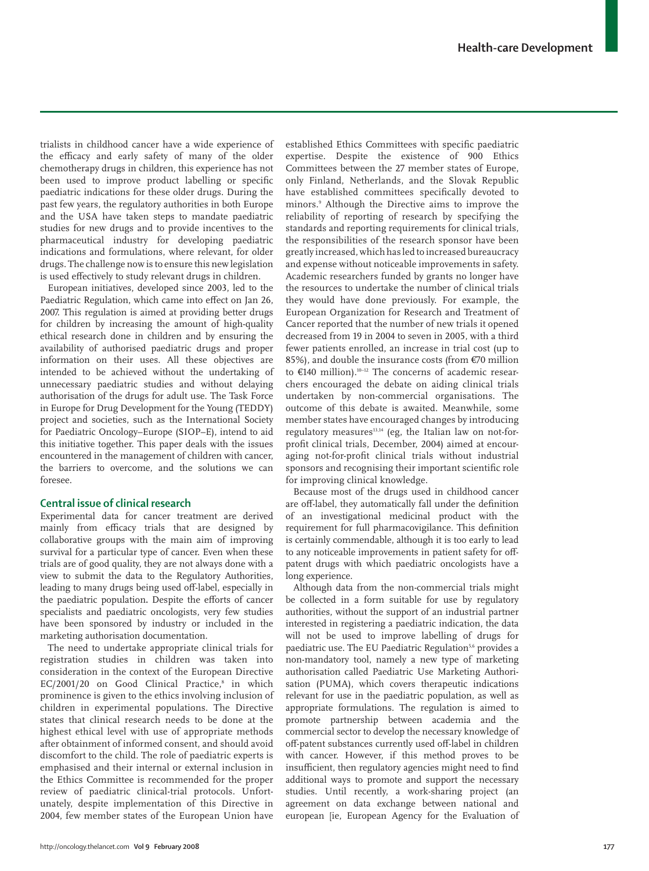trialists in childhood cancer have a wide experience of the efficacy and early safety of many of the older chemotherapy drugs in children, this experience has not been used to improve product labelling or specific paediatric indications for these older drugs. During the past few years, the regulatory authorities in both Europe and the USA have taken steps to mandate paediatric studies for new drugs and to provide incentives to the pharmaceutical industry for developing paediatric indications and formulations, where relevant, for older drugs. The challenge now is to ensure this new legislation is used effectively to study relevant drugs in children.

European initiatives, developed since 2003, led to the Paediatric Regulation, which came into effect on Jan 26, 2007. This regulation is aimed at providing better drugs for children by increasing the amount of high-quality ethical research done in children and by ensuring the availability of authorised paediatric drugs and proper information on their uses. All these objectives are intended to be achieved without the undertaking of unnecessary paediatric studies and without delaying authorisation of the drugs for adult use. The Task Force in Europe for Drug Development for the Young (TEDDY) project and societies, such as the International Society for Paediatric Oncology–Europe (SIOP–E), intend to aid this initiative together. This paper deals with the issues encountered in the management of children with cancer, the barriers to overcome, and the solutions we can foresee.

# **Central issue of clinical research**

Experimental data for cancer treatment are derived mainly from efficacy trials that are designed by collaborative groups with the main aim of improving survival for a particular type of cancer. Even when these trials are of good quality, they are not always done with a view to submit the data to the Regulatory Authorities, leading to many drugs being used off -label, especially in the paediatric population. Despite the efforts of cancer specialists and paediatric oncologists, very few studies have been sponsored by industry or included in the marketing authorisation documentation.

The need to undertake appropriate clinical trials for registration studies in children was taken into consideration in the context of the European Directive  $EC/2001/20$  on Good Clinical Practice,<sup>8</sup> in which prominence is given to the ethics involving inclusion of children in experimental populations. The Directive states that clinical research needs to be done at the highest ethical level with use of appropriate methods after obtainment of informed consent, and should avoid discomfort to the child. The role of paediatric experts is emphasised and their internal or external inclusion in the Ethics Committee is recommended for the proper review of paediatric clinical-trial protocols. Unfortunately, despite implementation of this Directive in 2004, few member states of the European Union have

established Ethics Committees with specific paediatric expertise. Despite the existence of  $900$  Ethics Committees between the 27 member states of Europe, only Finland, Netherlands, and the Slovak Republic have established committees specifically devoted to minors.9 Although the Directive aims to improve the reliability of reporting of research by specifying the standards and reporting requirements for clinical trials, the responsibilities of the research sponsor have been greatly increased, which has led to increased bureaucracy and expense without noticeable improvements in safety. Academic researchers funded by grants no longer have the resources to undertake the number of clinical trials they would have done previously. For example, the European Organization for Research and Treatment of Cancer reported that the number of new trials it opened decreased from 19 in 2004 to seven in 2005, with a third fewer patients enrolled, an increase in trial cost (up to 85%), and double the insurance costs (from €70 million to €140 million).10–12 The concerns of academic researchers encouraged the debate on aiding clinical trials undertaken by non-commercial organisations. The outcome of this debate is awaited. Meanwhile, some member states have encouraged changes by introducing regulatory measures $13,14}$  (eg, the Italian law on not-forprofit clinical trials, December, 2004) aimed at encouraging not-for-profit clinical trials without industrial sponsors and recognising their important scientific role for improving clinical knowledge.

Because most of the drugs used in childhood cancer are off-label, they automatically fall under the definition of an investigational medicinal product with the requirement for full pharmacovigilance. This definition is certainly commendable, although it is too early to lead to any noticeable improvements in patient safety for off patent drugs with which paediatric oncologists have a long experience.

Although data from the non-commercial trials might be collected in a form suitable for use by regulatory authorities, without the support of an industrial partner interested in registering a paediatric indication, the data will not be used to improve labelling of drugs for paediatric use. The EU Paediatric Regulation<sup>5,6</sup> provides a non-mandatory tool, namely a new type of marketing authorisation called Paediatric Use Marketing Authorisation (PUMA), which covers therapeutic indications relevant for use in the paediatric population, as well as appropriate formulations. The regulation is aimed to promote partnership between academia and the commercial sector to develop the necessary knowledge of off -patent substances currently used off -label in children with cancer. However, if this method proves to be insufficient, then regulatory agencies might need to find additional ways to promote and support the necessary studies. Until recently, a work-sharing project (an agreement on data exchange between national and european [ie, European Agency for the Evaluation of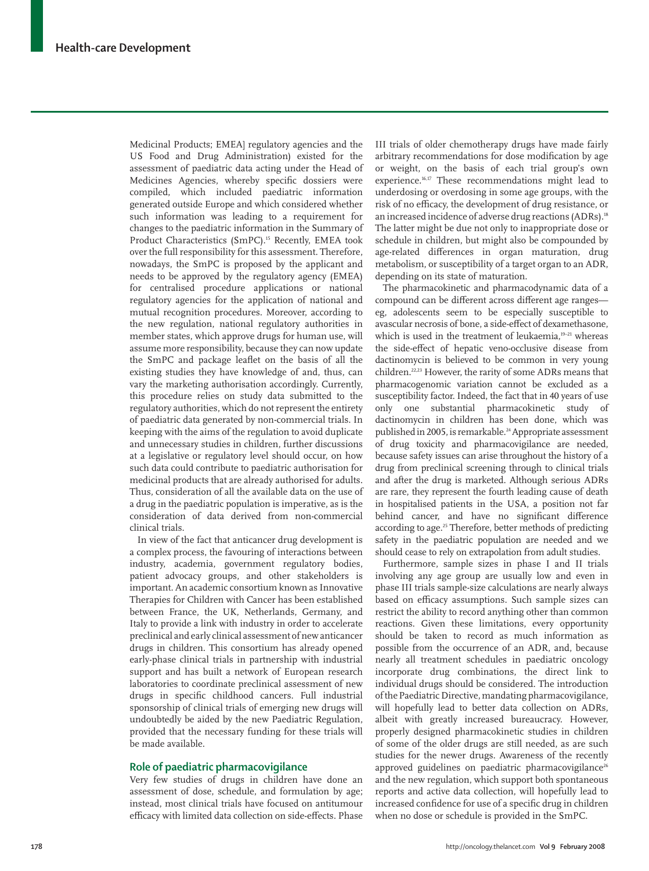Medicinal Products; EMEA] regulatory agencies and the US Food and Drug Administration) existed for the assessment of paediatric data acting under the Head of Medicines Agencies, whereby specific dossiers were compiled, which included paediatric information generated outside Europe and which considered whether such information was leading to a requirement for changes to the paediatric information in the Summary of Product Characteristics (SmPC).<sup>15</sup> Recently, EMEA took over the full responsibility for this assessment. Therefore, nowadays, the SmPC is proposed by the applicant and needs to be approved by the regulatory agency (EMEA) for centralised procedure applications or national regulatory agencies for the application of national and mutual recognition procedures. Moreover, according to the new regulation, national regulatory authorities in member states, which approve drugs for human use, will assume more responsibility, because they can now update the SmPC and package leaflet on the basis of all the existing studies they have knowledge of and, thus, can vary the marketing authorisation accordingly. Currently, this procedure relies on study data submitted to the regulatory authorities, which do not represent the entirety of paediatric data generated by non-commercial trials. In keeping with the aims of the regulation to avoid duplicate and unnecessary studies in children, further discussions at a legislative or regulatory level should occur, on how such data could contribute to paediatric authorisation for medicinal products that are already authorised for adults. Thus, consideration of all the available data on the use of a drug in the paediatric population is imperative, as is the consideration of data derived from non-commercial clinical trials.

In view of the fact that anticancer drug development is a complex process, the favouring of interactions between industry, academia, government regulatory bodies, patient advocacy groups, and other stakeholders is important. An academic consortium known as Innovative Therapies for Children with Cancer has been established between France, the UK, Netherlands, Germany, and Italy to provide a link with industry in order to accelerate preclinical and early clinical assessment of new anticancer drugs in children. This consortium has already opened early-phase clinical trials in partnership with industrial support and has built a network of European research laboratories to coordinate preclinical assessment of new drugs in specific childhood cancers. Full industrial sponsorship of clinical trials of emerging new drugs will undoubtedly be aided by the new Paediatric Regulation, provided that the necessary funding for these trials will be made available.

## **Role of paediatric pharmacovigilance**

Very few studies of drugs in children have done an assessment of dose, schedule, and formulation by age; instead, most clinical trials have focused on antitumour efficacy with limited data collection on side-effects. Phase III trials of older chemotherapy drugs have made fairly arbitrary recommendations for dose modification by age or weight, on the basis of each trial group's own experience.<sup>16,17</sup> These recommendations might lead to underdosing or overdosing in some age groups, with the risk of no efficacy, the development of drug resistance, or an increased incidence of adverse drug reactions (ADRs).<sup>18</sup> The latter might be due not only to inappropriate dose or schedule in children, but might also be compounded by age-related differences in organ maturation, drug metabolism, or susceptibility of a target organ to an ADR, depending on its state of maturation.

The pharmacokinetic and pharmacodynamic data of a compound can be different across different age ranges eg, adolescents seem to be especially susceptible to avascular necrosis of bone, a side-effect of dexamethasone, which is used in the treatment of leukaemia.<sup>19-21</sup> whereas the side-effect of hepatic veno-occlusive disease from dactinomycin is believed to be common in very young children.22,23 However, the rarity of some ADRs means that pharmacogenomic variation cannot be excluded as a susceptibility factor. Indeed, the fact that in 40 years of use only one substantial pharmacokinetic study of dactinomycin in children has been done, which was published in 2005, is remarkable.<sup>24</sup> Appropriate assessment of drug toxicity and pharmacovigilance are needed, because safety issues can arise throughout the history of a drug from preclinical screening through to clinical trials and after the drug is marketed. Although serious ADRs are rare, they represent the fourth leading cause of death in hospitalised patients in the USA, a position not far behind cancer, and have no significant difference according to age.<sup>25</sup> Therefore, better methods of predicting safety in the paediatric population are needed and we should cease to rely on extrapolation from adult studies.

Furthermore, sample sizes in phase I and II trials involving any age group are usually low and even in phase III trials sample-size calculations are nearly always based on efficacy assumptions. Such sample sizes can restrict the ability to record anything other than common reactions. Given these limitations, every opportunity should be taken to record as much information as possible from the occurrence of an ADR, and, because nearly all treatment schedules in paediatric oncology incorporate drug combinations, the direct link to individual drugs should be considered. The introduction of the Paediatric Directive, mandating pharmacovigilance, will hopefully lead to better data collection on ADRs, albeit with greatly increased bureaucracy. However, properly designed pharmacokinetic studies in children of some of the older drugs are still needed, as are such studies for the newer drugs. Awareness of the recently approved guidelines on paediatric pharmacovigilance<sup>26</sup> and the new regulation, which support both spontaneous reports and active data collection, will hopefully lead to increased confidence for use of a specific drug in children when no dose or schedule is provided in the SmPC.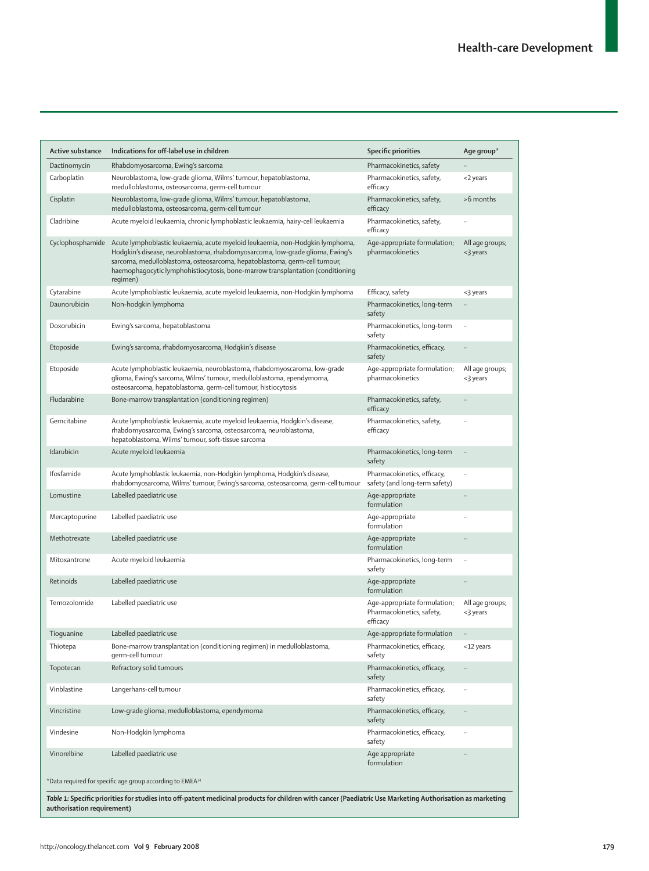| <b>Active substance</b>                                                                                                                                                                 | Indications for off-label use in children                                                                                                                                                                                                                                                                                                 | Specific priorities                                                   | Age group*                  |  |  |
|-----------------------------------------------------------------------------------------------------------------------------------------------------------------------------------------|-------------------------------------------------------------------------------------------------------------------------------------------------------------------------------------------------------------------------------------------------------------------------------------------------------------------------------------------|-----------------------------------------------------------------------|-----------------------------|--|--|
| Dactinomycin                                                                                                                                                                            | Rhabdomyosarcoma, Ewing's sarcoma                                                                                                                                                                                                                                                                                                         | Pharmacokinetics, safety                                              |                             |  |  |
| Carboplatin                                                                                                                                                                             | Neuroblastoma, low-grade glioma, Wilms' tumour, hepatoblastoma,<br>medulloblastoma, osteosarcoma, germ-cell tumour                                                                                                                                                                                                                        | Pharmacokinetics, safety,<br>efficacy                                 | <2 years                    |  |  |
| Cisplatin                                                                                                                                                                               | Neuroblastoma, low-grade glioma, Wilms' tumour, hepatoblastoma,<br>medulloblastoma, osteosarcoma, germ-cell tumour                                                                                                                                                                                                                        | Pharmacokinetics, safety,<br>efficacy                                 | >6 months                   |  |  |
| Cladribine                                                                                                                                                                              | Acute myeloid leukaemia, chronic lymphoblastic leukaemia, hairy-cell leukaemia                                                                                                                                                                                                                                                            | Pharmacokinetics, safety,<br>efficacy                                 |                             |  |  |
| Cyclophosphamide                                                                                                                                                                        | Acute lymphoblastic leukaemia, acute myeloid leukaemia, non-Hodgkin lymphoma,<br>Hodgkin's disease, neuroblastoma, rhabdomyosarcoma, low-grade glioma, Ewing's<br>sarcoma, medulloblastoma, osteosarcoma, hepatoblastoma, germ-cell tumour,<br>haemophagocytic lymphohistiocytosis, bone-marrow transplantation (conditioning<br>regimen) | Age-appropriate formulation;<br>pharmacokinetics                      | All age groups;<br><3 years |  |  |
| Cytarabine                                                                                                                                                                              | Acute lymphoblastic leukaemia, acute myeloid leukaemia, non-Hodgkin lymphoma                                                                                                                                                                                                                                                              | Efficacy, safety                                                      | <3 years                    |  |  |
| Daunorubicin                                                                                                                                                                            | Non-hodgkin lymphoma                                                                                                                                                                                                                                                                                                                      | Pharmacokinetics, long-term<br>safety                                 |                             |  |  |
| Doxorubicin                                                                                                                                                                             | Ewing's sarcoma, hepatoblastoma                                                                                                                                                                                                                                                                                                           | Pharmacokinetics, long-term<br>safety                                 | $\ldots$                    |  |  |
| Etoposide                                                                                                                                                                               | Ewing's sarcoma, rhabdomyosarcoma, Hodgkin's disease                                                                                                                                                                                                                                                                                      | Pharmacokinetics, efficacy,<br>safety                                 |                             |  |  |
| Etoposide                                                                                                                                                                               | Acute lymphoblastic leukaemia, neuroblastoma, rhabdomyoscaroma, low-grade<br>glioma, Ewing's sarcoma, Wilms' tumour, medulloblastoma, ependymoma,<br>osteosarcoma, hepatoblastoma, germ-cell tumour, histiocytosis                                                                                                                        | Age-appropriate formulation;<br>pharmacokinetics                      | All age groups;<br><3 years |  |  |
| Fludarabine                                                                                                                                                                             | Bone-marrow transplantation (conditioning regimen)                                                                                                                                                                                                                                                                                        | Pharmacokinetics, safety,<br>efficacy                                 |                             |  |  |
| Gemcitabine                                                                                                                                                                             | Acute lymphoblastic leukaemia, acute myeloid leukaemia, Hodgkin's disease,<br>rhabdomyosarcoma, Ewing's sarcoma, osteosarcoma, neuroblastoma,<br>hepatoblastoma, Wilms' tumour, soft-tissue sarcoma                                                                                                                                       | Pharmacokinetics, safety,<br>efficacy                                 | $\ddotsc$                   |  |  |
| Idarubicin                                                                                                                                                                              | Acute myeloid leukaemia                                                                                                                                                                                                                                                                                                                   | Pharmacokinetics, long-term<br>safety                                 | $\ldots$                    |  |  |
| Ifosfamide                                                                                                                                                                              | Acute lymphoblastic leukaemia, non-Hodgkin lymphoma, Hodgkin's disease,<br>rhabdomyosarcoma, Wilms' tumour, Ewing's sarcoma, osteosarcoma, germ-cell tumour                                                                                                                                                                               | Pharmacokinetics, efficacy,<br>safety (and long-term safety)          | $\ldots$                    |  |  |
| Lomustine                                                                                                                                                                               | Labelled paediatric use                                                                                                                                                                                                                                                                                                                   | Age-appropriate<br>formulation                                        |                             |  |  |
| Mercaptopurine                                                                                                                                                                          | Labelled paediatric use                                                                                                                                                                                                                                                                                                                   | Age-appropriate<br>formulation                                        |                             |  |  |
| Methotrexate                                                                                                                                                                            | Labelled paediatric use                                                                                                                                                                                                                                                                                                                   | Age-appropriate<br>formulation                                        |                             |  |  |
| Mitoxantrone                                                                                                                                                                            | Acute myeloid leukaemia                                                                                                                                                                                                                                                                                                                   | Pharmacokinetics, long-term<br>safety                                 |                             |  |  |
| Retinoids                                                                                                                                                                               | Labelled paediatric use                                                                                                                                                                                                                                                                                                                   | Age-appropriate<br>formulation                                        | $\ddotsc$                   |  |  |
| Temozolomide                                                                                                                                                                            | Labelled paediatric use                                                                                                                                                                                                                                                                                                                   | Age-appropriate formulation;<br>Pharmacokinetics, safety,<br>efficacy | All age groups;<br><3 years |  |  |
| Tioguanine                                                                                                                                                                              | Labelled paediatric use                                                                                                                                                                                                                                                                                                                   | Age-appropriate formulation                                           |                             |  |  |
| Thiotepa                                                                                                                                                                                | Bone-marrow transplantation (conditioning regimen) in medulloblastoma,<br>germ-cell tumour                                                                                                                                                                                                                                                | Pharmacokinetics, efficacy,<br>safety                                 | <12 years                   |  |  |
| Topotecan                                                                                                                                                                               | Refractory solid tumours                                                                                                                                                                                                                                                                                                                  | Pharmacokinetics, efficacy,<br>safety                                 |                             |  |  |
| Vinblastine                                                                                                                                                                             | Langerhans-cell tumour                                                                                                                                                                                                                                                                                                                    | Pharmacokinetics, efficacy,<br>safety                                 | $\ldots$                    |  |  |
| Vincristine                                                                                                                                                                             | Low-grade glioma, medulloblastoma, ependymoma                                                                                                                                                                                                                                                                                             | Pharmacokinetics, efficacy,<br>safety                                 | $\cdots$                    |  |  |
| Vindesine                                                                                                                                                                               | Non-Hodgkin lymphoma                                                                                                                                                                                                                                                                                                                      | Pharmacokinetics, efficacy,<br>safety                                 | $\ldots$                    |  |  |
| Vinorelbine                                                                                                                                                                             | Labelled paediatric use                                                                                                                                                                                                                                                                                                                   | Age appropriate<br>formulation                                        |                             |  |  |
| *Data required for specific age group according to EMEA <sup>34</sup>                                                                                                                   |                                                                                                                                                                                                                                                                                                                                           |                                                                       |                             |  |  |
| Table 1: Specific priorities for studies into off-patent medicinal products for children with cancer (Paediatric Use Marketing Authorisation as marketing<br>authorisation requirement) |                                                                                                                                                                                                                                                                                                                                           |                                                                       |                             |  |  |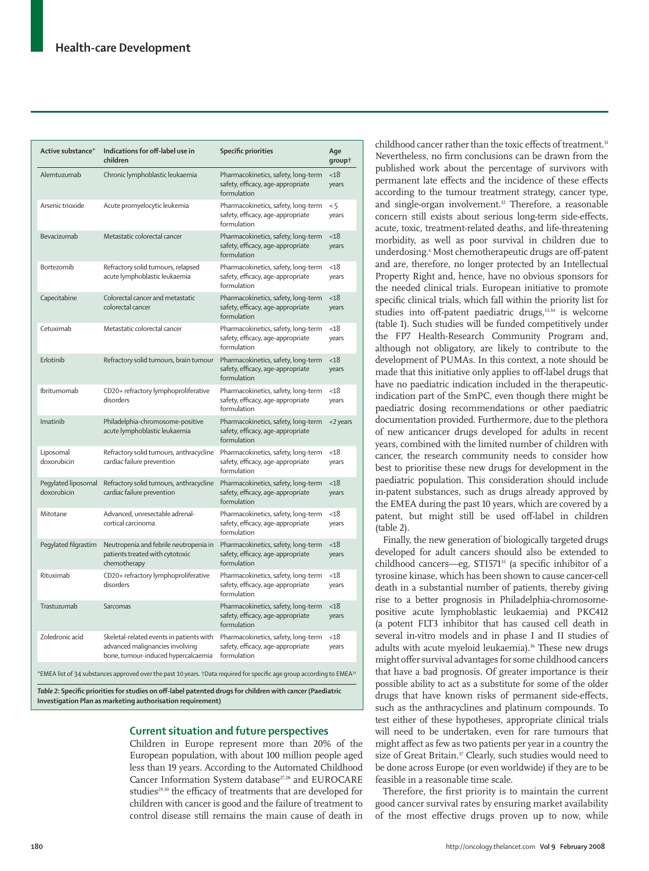| Indications for off-label use in<br>children                                                                       | Specific priorities                                                                     | Age<br>group†   |
|--------------------------------------------------------------------------------------------------------------------|-----------------------------------------------------------------------------------------|-----------------|
| Chronic lymphoblastic leukaemia                                                                                    | Pharmacokinetics, safety, long-term<br>safety, efficacy, age-appropriate<br>formulation | < 18<br>years   |
| Acute promyelocytic leukemia                                                                                       | Pharmacokinetics, safety, long-term<br>safety, efficacy, age-appropriate<br>formulation | < 5<br>years    |
| Metastatic colorectal cancer                                                                                       | Pharmacokinetics, safety, long-term<br>safety, efficacy, age-appropriate<br>formulation | < 18<br>years   |
| Refractory solid tumours, relapsed<br>acute lymphoblastic leukaemia                                                | Pharmacokinetics, safety, long-term<br>safety, efficacy, age-appropriate<br>formulation | $<$ 18<br>years |
| Colorectal cancer and metastatic<br>colorectal cancer                                                              | Pharmacokinetics, safety, long-term<br>safety, efficacy, age-appropriate<br>formulation | < 18<br>years   |
| Metastatic colorectal cancer                                                                                       | Pharmacokinetics, safety, long-term<br>safety, efficacy, age-appropriate<br>formulation | $<$ 18<br>years |
| Refractory solid tumours, brain tumour                                                                             | Pharmacokinetics, safety, long-term<br>safety, efficacy, age-appropriate<br>formulation | < 18<br>years   |
| CD20+ refractory lymphoproliferative<br>disorders                                                                  | Pharmacokinetics, safety, long-term<br>safety, efficacy, age-appropriate<br>formulation | < 18<br>years   |
| Philadelphia-chromosome-positive<br>acute lymphoblastic leukaemia                                                  | Pharmacokinetics, safety, long-term<br>safety, efficacy, age-appropriate<br>formulation | <2 years        |
| Refractory solid tumours, anthracycline<br>cardiac failure prevention                                              | Pharmacokinetics, safety, long-term<br>safety, efficacy, age-appropriate<br>formulation | < 18<br>years   |
| Refractory solid tumours, anthracycline<br>cardiac failure prevention                                              | Pharmacokinetics, safety, long-term<br>safety, efficacy, age-appropriate<br>formulation | < 18<br>years   |
| Advanced, unresectable adrenal-<br>cortical carcinoma                                                              | Pharmacokinetics, safety, long-term<br>safety, efficacy, age-appropriate<br>formulation | < 18<br>years   |
| Neutropenia and febrile neutropenia in<br>patients treated with cytotoxic<br>chemotherapy                          | Pharmacokinetics, safety, long-term<br>safety, efficacy, age-appropriate<br>formulation | < 18<br>years   |
| CD20+ refractory lymphoproliferative<br>disorders                                                                  | Pharmacokinetics, safety, long-term<br>safety, efficacy, age-appropriate<br>formulation | $<$ 18<br>years |
| Sarcomas                                                                                                           | Pharmacokinetics, safety, long-term<br>safety, efficacy, age-appropriate<br>formulation | $<$ 18<br>years |
| Skeletal-related events in patients with<br>advanced malignancies involving<br>bone, tumour-induced hypercalcaemia | Pharmacokinetics, safety, long-term<br>safety, efficacy, age-appropriate<br>formulation | <18<br>years    |
|                                                                                                                    |                                                                                         |                 |

*Table 2:* **Specifi c priorities for studies on off -label patented drugs for children with cancer (Paediatric Investigation Plan as marketing authorisation requirement)**

# **Current situation and future perspectives**

Children in Europe represent more than 20% of the European population, with about 100 million people aged less than 19 years. According to the Automated Childhood Cancer Information System database<sup>27,28</sup> and EUROCARE studies<sup>29,30</sup> the efficacy of treatments that are developed for children with cancer is good and the failure of treatment to control disease still remains the main cause of death in childhood cancer rather than the toxic effects of treatment.<sup>31</sup> Nevertheless, no firm conclusions can be drawn from the published work about the percentage of survivors with permanent late effects and the incidence of these effects according to the tumour treatment strategy, cancer type, and single-organ involvement.<sup>32</sup> Therefore, a reasonable concern still exists about serious long-term side-effects, acute, toxic, treatment-related deaths, and life-threatening morbidity, as well as poor survival in children due to underdosing.4 Most chemotherapeutic drugs are off -patent and are, therefore, no longer protected by an Intellectual Property Right and, hence, have no obvious sponsors for the needed clinical trials. European initiative to promote specific clinical trials, which fall within the priority list for studies into off-patent paediatric drugs,<sup>33,34</sup> is welcome (table 1). Such studies will be funded competitively under the FP7 Health-Research Community Program and, although not obligatory, are likely to contribute to the development of PUMAs. In this context, a note should be made that this initiative only applies to off -label drugs that have no paediatric indication included in the therapeuticindication part of the SmPC, even though there might be paediatric dosing recommendations or other paediatric documentation provided. Furthermore, due to the plethora of new anticancer drugs developed for adults in recent years, combined with the limited number of children with cancer, the research community needs to consider how best to prioritise these new drugs for development in the paediatric population. This consideration should include in-patent substances, such as drugs already approved by the EMEA during the past 10 years, which are covered by a patent, but might still be used off-label in children (table 2).

Finally, the new generation of biologically targeted drugs developed for adult cancers should also be extended to childhood cancers—eg, STI571<sup>35</sup> (a specific inhibitor of a tyrosine kinase, which has been shown to cause cancer-cell death in a substantial number of patients, thereby giving rise to a better prognosis in Philadelphia-chromosomepositive acute lymphoblastic leukaemia) and PKC412 (a potent FLT3 inhibitor that has caused cell death in several in-vitro models and in phase I and II studies of adults with acute myeloid leukaemia).<sup>36</sup> These new drugs might offer survival advantages for some childhood cancers that have a bad prognosis. Of greater importance is their possible ability to act as a substitute for some of the older drugs that have known risks of permanent side-effects, such as the anthracyclines and platinum compounds. To test either of these hypotheses, appropriate clinical trials will need to be undertaken, even for rare tumours that might affect as few as two patients per year in a country the size of Great Britain.<sup>37</sup> Clearly, such studies would need to be done across Europe (or even worldwide) if they are to be feasible in a reasonable time scale.

Therefore, the first priority is to maintain the current good cancer survival rates by ensuring market availability of the most effective drugs proven up to now, while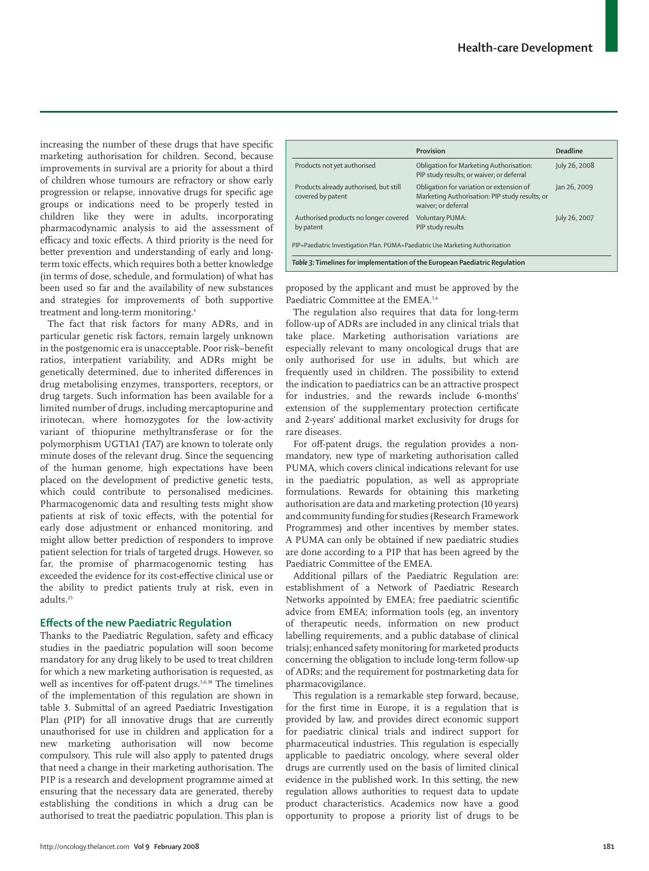increasing the number of these drugs that have specific marketing authorisation for children. Second, because improvements in survival are a priority for about a third of children whose tumours are refractory or show early progression or relapse, innovative drugs for specific age groups or indications need to be properly tested in children like they were in adults, incorporating pharmacodynamic analysis to aid the assessment of efficacy and toxic effects. A third priority is the need for better prevention and understanding of early and longterm toxic effects, which requires both a better knowledge (in terms of dose, schedule, and formulation) of what has been used so far and the availability of new substances and strategies for improvements of both supportive treatment and long-term monitoring.4

The fact that risk factors for many ADRs, and in particular genetic risk factors, remain largely unknown in the postgenomic era is unacceptable. Poor risk–benefit ratios, interpatient variability, and ADRs might be genetically determined, due to inherited differences in drug metabolising enzymes, transporters, receptors, or drug targets. Such information has been available for a limited number of drugs, including mercaptopurine and irinotecan, where homozygotes for the low-activity variant of thiopurine methyltransferase or for the polymorphism UGT1A1 (TA7) are known to tolerate only minute doses of the relevant drug. Since the sequencing of the human genome, high expectations have been placed on the development of predictive genetic tests, which could contribute to personalised medicines. Pharmacogenomic data and resulting tests might show patients at risk of toxic effects, with the potential for early dose adjustment or enhanced monitoring, and might allow better prediction of responders to improve patient selection for trials of targeted drugs. However, so far, the promise of pharmacogenomic testing has exceeded the evidence for its cost-effective clinical use or the ability to predict patients truly at risk, even in adults.<sup>25</sup>

## **Eff ects of the new Paediatric Regulation**

Thanks to the Paediatric Regulation, safety and efficacy studies in the paediatric population will soon become mandatory for any drug likely to be used to treat children for which a new marketing authorisation is requested, as well as incentives for off-patent drugs.<sup>5,6,38</sup> The timelines of the implementation of this regulation are shown in table 3. Submittal of an agreed Paediatric Investigation Plan (PIP) for all innovative drugs that are currently unauthorised for use in children and application for a new marketing authorisation will now become compulsory. This rule will also apply to patented drugs that need a change in their marketing authorisation. The PIP is a research and development programme aimed at ensuring that the necessary data are generated, thereby establishing the conditions in which a drug can be authorised to treat the paediatric population. This plan is

|                                                                                | Provision                                                                                                         | Deadline      |  |  |  |  |
|--------------------------------------------------------------------------------|-------------------------------------------------------------------------------------------------------------------|---------------|--|--|--|--|
| Products not yet authorised                                                    | Obligation for Marketing Authorisation:<br>PIP study results; or waiver; or deferral                              | July 26, 2008 |  |  |  |  |
| Products already authorised, but still<br>covered by patent                    | Obligation for variation or extension of<br>Marketing Authorisation: PIP study results; or<br>waiver: or deferral | Jan 26, 2009  |  |  |  |  |
| Authorised products no longer covered<br>by patent                             | <b>Voluntary PUMA:</b><br>PIP study results                                                                       | July 26, 2007 |  |  |  |  |
| PIP=Paediatric Investigation Plan. PUMA=Paediatric Use Marketing Authorisation |                                                                                                                   |               |  |  |  |  |
| Table 3: Timelines for implementation of the European Paediatric Requlation    |                                                                                                                   |               |  |  |  |  |

proposed by the applicant and must be approved by the Paediatric Committee at the EMEA.<sup>5,6</sup>

The regulation also requires that data for long-term follow-up of ADRs are included in any clinical trials that take place. Marketing authorisation variations are especially relevant to many oncological drugs that are only authorised for use in adults, but which are frequently used in children. The possibility to extend the indication to paediatrics can be an attractive prospect for industries, and the rewards include 6-months' extension of the supplementary protection certificate and 2-years' additional market exclusivity for drugs for rare diseases.

For off-patent drugs, the regulation provides a nonmandatory, new type of marketing authorisation called PUMA, which covers clinical indications relevant for use in the paediatric population, as well as appropriate formulations. Rewards for obtaining this marketing authorisation are data and marketing protection (10 years) and community funding for studies (Research Framework Programmes) and other incentives by member states. A PUMA can only be obtained if new paediatric studies are done according to a PIP that has been agreed by the Paediatric Committee of the EMEA.

Additional pillars of the Paediatric Regulation are: establishment of a Network of Paediatric Research Networks appointed by EMEA; free paediatric scientific advice from EMEA; information tools (eg, an inventory of therapeutic needs, information on new product labelling requirements, and a public database of clinical trials); enhanced safety monitoring for marketed products concerning the obligation to include long-term follow-up of ADRs; and the requirement for postmarketing data for pharmacovigilance.

This regulation is a remarkable step forward, because, for the first time in Europe, it is a regulation that is provided by law, and provides direct economic support for paediatric clinical trials and indirect support for pharmaceutical industries. This regulation is especially applicable to paediatric oncology, where several older drugs are currently used on the basis of limited clinical evidence in the published work. In this setting, the new regulation allows authorities to request data to update product characteristics. Academics now have a good opportunity to propose a priority list of drugs to be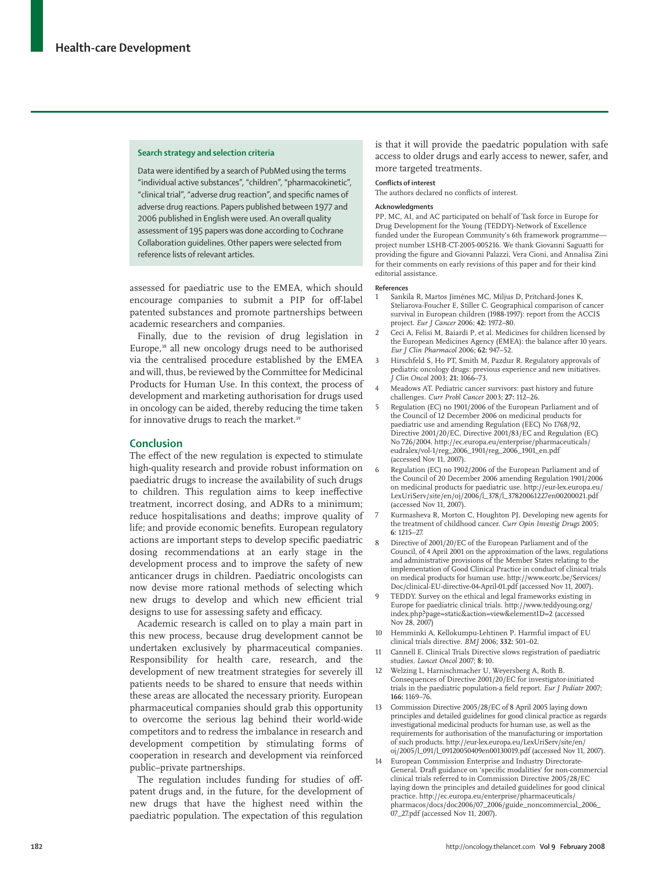#### **Search strategy and selection criteria**

Data were identified by a search of PubMed using the terms "individual active substances", "children", "pharmacokinetic", "clinical trial", "adverse drug reaction", and specific names of adverse drug reactions. Papers published between 1977 and 2006 published in English were used. An overall quality assessment of 195 papers was done according to Cochrane Collaboration guidelines. Other papers were selected from reference lists of relevant articles.

assessed for paediatric use to the EMEA, which should encourage companies to submit a PIP for off-label patented substances and promote partnerships between academic researchers and companies.

Finally, due to the revision of drug legislation in Europe,<sup>38</sup> all new oncology drugs need to be authorised via the centralised procedure established by the EMEA and will, thus, be reviewed by the Committee for Medicinal Products for Human Use. In this context, the process of development and marketing authorisation for drugs used in oncology can be aided, thereby reducing the time taken for innovative drugs to reach the market.<sup>39</sup>

## **Conclusion**

The effect of the new regulation is expected to stimulate high-quality research and provide robust information on paediatric drugs to increase the availability of such drugs to children. This regulation aims to keep ineffective treatment, incorrect dosing, and ADRs to a minimum; reduce hospitalisations and deaths; improve quality of life; and provide economic benefits. European regulatory actions are important steps to develop specific paediatric dosing recommendations at an early stage in the development process and to improve the safety of new anticancer drugs in children. Paediatric oncologists can now devise more rational methods of selecting which new drugs to develop and which new efficient trial designs to use for assessing safety and efficacy.

Academic research is called on to play a main part in this new process, because drug development cannot be undertaken exclusively by pharmaceutical companies. Responsibility for health care, research, and the development of new treatment strategies for severely ill patients needs to be shared to ensure that needs within these areas are allocated the necessary priority. European pharmaceutical companies should grab this opportunity to overcome the serious lag behind their world-wide competitors and to redress the imbalance in research and development competition by stimulating forms of cooperation in research and development via reinforced public–private partnerships.

The regulation includes funding for studies of offpatent drugs and, in the future, for the development of new drugs that have the highest need within the paediatric population. The expectation of this regulation

is that it will provide the paedatric population with safe access to older drugs and early access to newer, safer, and more targeted treatments.

#### **Conflicts of interest**

The authors declared no conflicts of interest.

#### **Acknowledgments**

PP, MC, AI, and AC participated on behalf of Task force in Europe for Drug Development for the Young (TEDDY)-Network of Excellence funded under the European Community's 6th framework programme project number LSHB-CT-2005-005216. We thank Giovanni Saguatti for providing the figure and Giovanni Palazzi, Vera Cioni, and Annalisa Zini for their comments on early revisions of this paper and for their kind editorial assistance.

#### **References**

- 1 Sankila R, Martos Jiménes MC, Miljus D, Pritchard-Jones K, Steliarova-Foucher E, Stiller C. Geographical comparison of cancer survival in European children (1988-1997): report from the ACCIS project. *Eur J Cancer* 2006; **42:** 1972–80.
- 2 Ceci A, Felisi M, Baiardi P, et al. Medicines for children licensed by the European Medicines Agency (EMEA): the balance after 10 years. *Eur J Clin Pharmacol* 2006; **62:** 947–52.
- 3 Hirschfeld S, Ho PT, Smith M, Pazdur R. Regulatory approvals of pediatric oncology drugs: previous experience and new initiatives. *J Clin Oncol* 2003; **21:** 1066–73.
- Meadows AT. Pediatric cancer survivors: past history and future challenges. *Curr Probl Cancer* 2003; **27:** 112–26.
- 5 Regulation (EC) no 1901/2006 of the European Parliament and of the Council of 12 December 2006 on medicinal products for paediatric use and amending Regulation (EEC) No 1768/92, Directive 2001/20/EC, Directive 2001/83/EC and Regulation (EC) No 726/2004. http://ec.europa.eu/enterprise/pharmaceuticals/ eudralex/vol-1/reg\_2006\_1901/reg\_2006\_1901\_en.pdf (accessed Nov 11, 2007).
- 6 Regulation (EC) no 1902/2006 of the European Parliament and of the Council of 20 December 2006 amending Regulation 1901/2006 on medicinal products for paediatric use. http://eur-lex.europa.eu/ LexUriServ/site/en/oj/2006/l\_378/l\_37820061227en00200021.pdf (accessed Nov 11, 2007).
- Kurmasheva R, Morton C, Houghton PJ. Developing new agents for the treatment of childhood cancer. *Curr Opin Investig Drugs* 2005; **6:** 1215–27.
- 8 Directive of 2001/20/EC of the European Parliament and of the Council, of 4 April 2001 on the approximation of the laws, regulations and administrative provisions of the Member States relating to the implementation of Good Clinical Practice in conduct of clinical trials on medical products for human use. http://www.eortc.be/Services/ Doc/clinical-EU-directive-04-April-01.pdf (accessed Nov 11, 2007).
- TEDDY. Survey on the ethical and legal frameworks existing in Europe for paediatric clinical trials. http://www.teddyoung.org/ index.php?page=static&action=view&elementID=2 (accessed Nov 28, 2007)
- 10 Hemminki A, Kellokumpu-Lehtinen P. Harmful impact of EU clinical trials directive. *BMJ* 2006; **332:** 501–02.
- 11 Cannell E. Clinical Trials Directive slows registration of paediatric studies. *Lancet Oncol* 2007; **8:** 10.
- Welzing L, Harnischmacher U, Weyersberg A, Roth B. Consequences of Directive 2001/20/EC for investigator-initiated trials in the paediatric population-a field report. *Eur J Pediatr* 2007; **166:** 1169–76.
- 13 Commission Directive 2005/28/EC of 8 April 2005 laying down principles and detailed guidelines for good clinical practice as regards investigational medicinal products for human use, as well as the requirements for authorisation of the manufacturing or importation of such products. http://eur-lex.europa.eu/LexUriServ/site/en/ oj/2005/l\_091/l\_09120050409en00130019.pdf (accessed Nov 11, 2007).
- 14 European Commission Enterprise and Industry Directorate-General. Draft guidance on 'specific modalities' for non-commercial clinical trials referred to in Commission Directive 2005/28/EC laying down the principles and detailed guidelines for good clinical practice. http://ec.europa.eu/enterprise/pharmaceuticals/ pharmacos/docs/doc2006/07\_2006/guide\_noncommercial\_2006\_ 07\_27.pdf (accessed Nov 11, 2007).